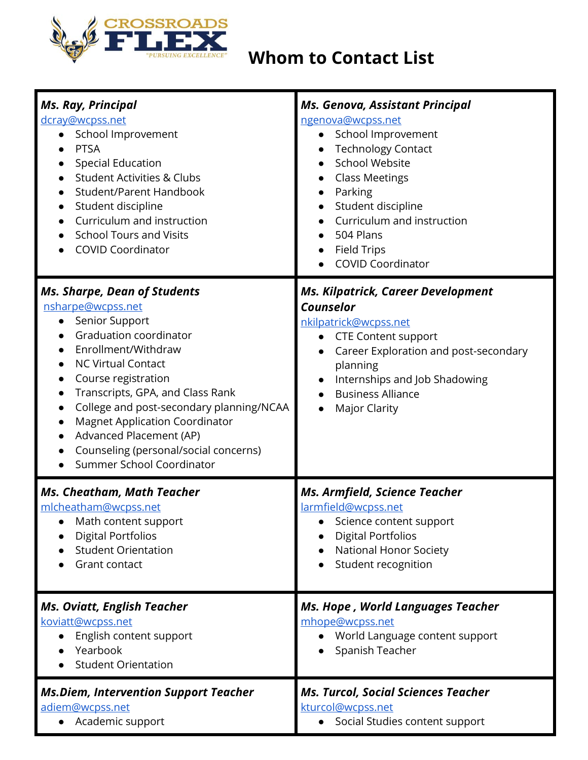

## **Whom to Contact List**

| <b>Ms. Ray, Principal</b><br>dcray@wcpss.net<br>School Improvement<br>$\bullet$<br><b>PTSA</b><br><b>Special Education</b><br><b>Student Activities &amp; Clubs</b><br><b>Student/Parent Handbook</b><br>$\bullet$<br>Student discipline<br>$\bullet$<br>Curriculum and instruction<br><b>School Tours and Visits</b><br><b>COVID Coordinator</b>                                                                                                                                                    | Ms. Genova, Assistant Principal<br>ngenova@wcpss.net<br>School Improvement<br>$\bullet$<br><b>Technology Contact</b><br><b>School Website</b><br><b>Class Meetings</b><br>Parking<br>$\bullet$<br>Student discipline<br>Curriculum and instruction<br>504 Plans<br><b>Field Trips</b><br>$\bullet$<br><b>COVID Coordinator</b> |
|------------------------------------------------------------------------------------------------------------------------------------------------------------------------------------------------------------------------------------------------------------------------------------------------------------------------------------------------------------------------------------------------------------------------------------------------------------------------------------------------------|--------------------------------------------------------------------------------------------------------------------------------------------------------------------------------------------------------------------------------------------------------------------------------------------------------------------------------|
| <b>Ms. Sharpe, Dean of Students</b><br>nsharpe@wcpss.net<br>Senior Support<br>$\bullet$<br>Graduation coordinator<br>Enrollment/Withdraw<br><b>NC Virtual Contact</b><br>$\bullet$<br>Course registration<br>$\bullet$<br>Transcripts, GPA, and Class Rank<br>$\bullet$<br>College and post-secondary planning/NCAA<br>$\bullet$<br><b>Magnet Application Coordinator</b><br>$\bullet$<br>Advanced Placement (AP)<br>$\bullet$<br>Counseling (personal/social concerns)<br>Summer School Coordinator | <b>Ms. Kilpatrick, Career Development</b><br><b>Counselor</b><br>nkilpatrick@wcpss.net<br><b>CTE Content support</b><br>Career Exploration and post-secondary<br>planning<br>Internships and Job Shadowing<br><b>Business Alliance</b><br>Major Clarity                                                                        |
| <b>Ms. Cheatham, Math Teacher</b><br>mlcheatham@wcpss.net<br>Math content support<br><b>Digital Portfolios</b><br><b>Student Orientation</b><br>Grant contact                                                                                                                                                                                                                                                                                                                                        | <b>Ms. Armfield, Science Teacher</b><br>larmfield@wcpss.net<br>Science content support<br><b>Digital Portfolios</b><br><b>National Honor Society</b><br>Student recognition                                                                                                                                                    |
| <b>Ms. Oviatt, English Teacher</b><br>koviatt@wcpss.net<br>English content support<br>$\bullet$<br>Yearbook<br><b>Student Orientation</b>                                                                                                                                                                                                                                                                                                                                                            | Ms. Hope, World Languages Teacher<br>mhope@wcpss.net<br>World Language content support<br>Spanish Teacher                                                                                                                                                                                                                      |
| <b>Ms.Diem, Intervention Support Teacher</b><br>adiem@wcpss.net<br>Academic support                                                                                                                                                                                                                                                                                                                                                                                                                  | <b>Ms. Turcol, Social Sciences Teacher</b><br>kturcol@wcpss.net<br>Social Studies content support                                                                                                                                                                                                                              |